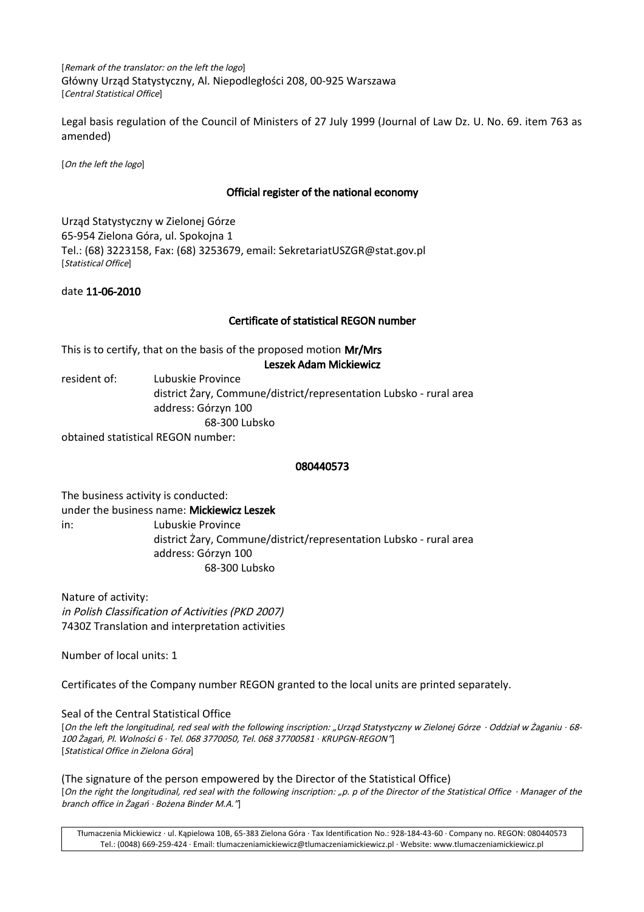[Remark of the translator: on the left the logo] Główny Urząd Statystyczny, Al. Niepodległości 208, 00-925 Warszawa [Central Statistical Office]

Legal basis regulation of the Council of Ministers of 27 July 1999 (Journal of Law Dz. U. No. 69. item 763 as amended)

[On the left the logo]

## Official register of the national economy

Urząd Statystyczny w Zielonej Górze 65-954 Zielona Góra, ul. Spokojna 1 Tel.: (68) 3223158, Fax: (68) 3253679, email: SekretariatUSZGR@stat.gov.pl [Statistical Office]

## date 11-06-2010

## Certificate of statistical REGON number

This is to certify, that on the basis of the proposed motion Mr/Mrs Leszek Adam Mickiewicz resident of: Lubuskie Province district Żary, Commune/district/representation Lubsko - rural area address: Górzyn 100 68-300 Lubsko obtained statistical REGON number:

## 080440573

The business activity is conducted: under the business name: Mickiewicz Leszek in: Lubuskie Province district Żary, Commune/district/representation Lubsko - rural area address: Górzyn 100 68-300 Lubsko

Nature of activity: in Polish Classification of Activities (PKD 2007) 7430Z Translation and interpretation activities

Number of local units: 1

Certificates of the Company number REGON granted to the local units are printed separately.

Seal of the Central Statistical Office

[On the left the longitudinal, red seal with the following inscription: "Urząd Statystyczny w Zielonej Górze · Oddział w Żaganiu · 68-100 Żagań, Pl. Wolności 6 · Tel. 068 3770050, Tel. 068 37700581 · KRUPGN-REGON"] [Statistical Office in Zielona Góra]

(The signature of the person empowered by the Director of the Statistical Office) [On the right the longitudinal, red seal with the following inscription: "p. p of the Director of the Statistical Office · Manager of the branch office in Żagań · Bożena Binder M.A."]

Tłumaczenia Mickiewicz · ul. Kąpielowa 10B, 65-383 Zielona Góra · Tax Identification No.: 928-184-43-60 · Company no. REGON: 080440573 Tel.: (0048) 669-259-424 · Email: tlumaczeniamickiewicz@tlumaczeniamickiewicz.pl · Website: www.tlumaczeniamickiewicz.pl